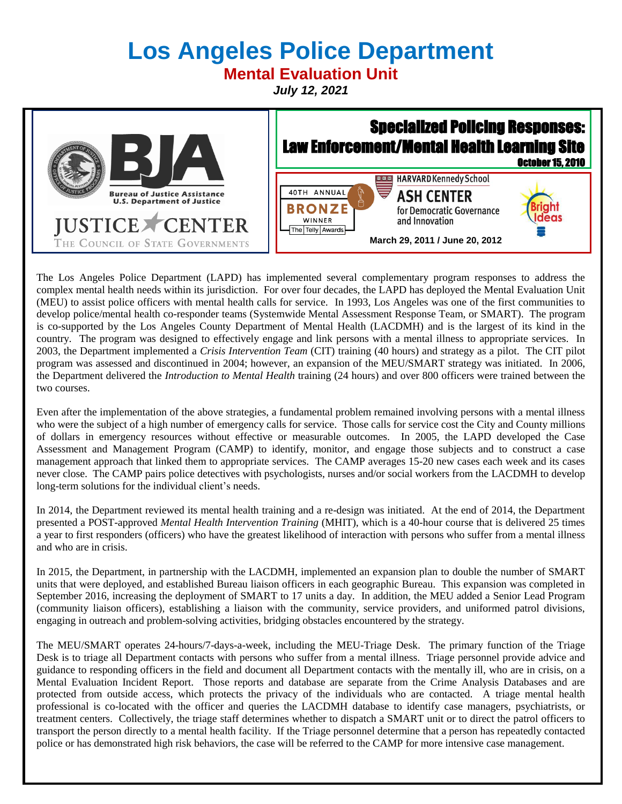# **Los Angeles Police Department**

**Mental Evaluation Unit**

*July 12, 2021*



The Los Angeles Police Department (LAPD) has implemented several complementary program responses to address the complex mental health needs within its jurisdiction. For over four decades, the LAPD has deployed the Mental Evaluation Unit (MEU) to assist police officers with mental health calls for service. In 1993, Los Angeles was one of the first communities to develop police/mental health co-responder teams (Systemwide Mental Assessment Response Team, or SMART). The program is co-supported by the Los Angeles County Department of Mental Health (LACDMH) and is the largest of its kind in the country. The program was designed to effectively engage and link persons with a mental illness to appropriate services. In 2003, the Department implemented a *Crisis Intervention Team* (CIT) training (40 hours) and strategy as a pilot. The CIT pilot program was assessed and discontinued in 2004; however, an expansion of the MEU/SMART strategy was initiated. In 2006, the Department delivered the *Introduction to Mental Health* training (24 hours) and over 800 officers were trained between the two courses.

Even after the implementation of the above strategies, a fundamental problem remained involving persons with a mental illness who were the subject of a high number of emergency calls for service. Those calls for service cost the City and County millions of dollars in emergency resources without effective or measurable outcomes. In 2005, the LAPD developed the Case Assessment and Management Program (CAMP) to identify, monitor, and engage those subjects and to construct a case management approach that linked them to appropriate services. The CAMP averages 15-20 new cases each week and its cases never close. The CAMP pairs police detectives with psychologists, nurses and/or social workers from the LACDMH to develop long-term solutions for the individual client's needs.

In 2014, the Department reviewed its mental health training and a re-design was initiated. At the end of 2014, the Department presented a POST-approved *Mental Health Intervention Training* (MHIT), which is a 40-hour course that is delivered 25 times a year to first responders (officers) who have the greatest likelihood of interaction with persons who suffer from a mental illness and who are in crisis.

In 2015, the Department, in partnership with the LACDMH, implemented an expansion plan to double the number of SMART units that were deployed, and established Bureau liaison officers in each geographic Bureau. This expansion was completed in September 2016, increasing the deployment of SMART to 17 units a day. In addition, the MEU added a Senior Lead Program (community liaison officers), establishing a liaison with the community, service providers, and uniformed patrol divisions, engaging in outreach and problem-solving activities, bridging obstacles encountered by the strategy.

The MEU/SMART operates 24-hours/7-days-a-week, including the MEU-Triage Desk. The primary function of the Triage Desk is to triage all Department contacts with persons who suffer from a mental illness. Triage personnel provide advice and guidance to responding officers in the field and document all Department contacts with the mentally ill, who are in crisis, on a Mental Evaluation Incident Report. Those reports and database are separate from the Crime Analysis Databases and are protected from outside access, which protects the privacy of the individuals who are contacted. A triage mental health professional is co-located with the officer and queries the LACDMH database to identify case managers, psychiatrists, or treatment centers. Collectively, the triage staff determines whether to dispatch a SMART unit or to direct the patrol officers to transport the person directly to a mental health facility. If the Triage personnel determine that a person has repeatedly contacted police or has demonstrated high risk behaviors, the case will be referred to the CAMP for more intensive case management.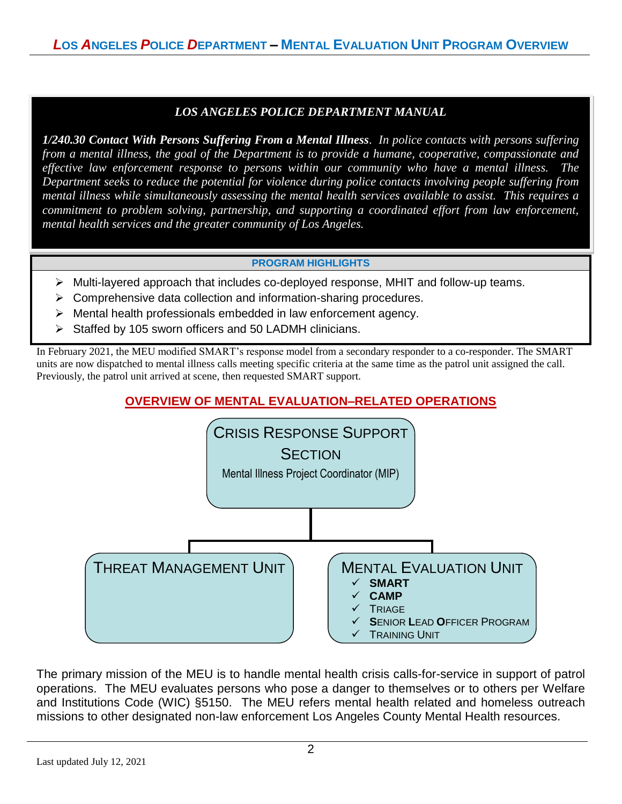# *LOS ANGELES POLICE DEPARTMENT MANUAL*

*1/240.30 Contact With Persons Suffering From a Mental Illness. In police contacts with persons suffering from a mental illness, the goal of the Department is to provide a humane, cooperative, compassionate and effective law enforcement response to persons within our community who have a mental illness. The Department seeks to reduce the potential for violence during police contacts involving people suffering from mental illness while simultaneously assessing the mental health services available to assist. This requires a commitment to problem solving, partnership, and supporting a coordinated effort from law enforcement, mental health services and the greater community of Los Angeles.*

#### **PROGRAM HIGHLIGHTS**

- ➢ Multi-layered approach that includes co-deployed response, MHIT and follow-up teams.
- ➢ Comprehensive data collection and information-sharing procedures.
- ➢ Mental health professionals embedded in law enforcement agency.
- ➢ Staffed by 105 sworn officers and 50 LADMH clinicians.

In February 2021, the MEU modified SMART's response model from a secondary responder to a co-responder. The SMART units are now dispatched to mental illness calls meeting specific criteria at the same time as the patrol unit assigned the call. Previously, the patrol unit arrived at scene, then requested SMART support.

# **OVERVIEW OF MENTAL EVALUATION–RELATED OPERATIONS**



The primary mission of the MEU is to handle mental health crisis calls-for-service in support of patrol operations. The MEU evaluates persons who pose a danger to themselves or to others per Welfare and Institutions Code (WIC) §5150. The MEU refers mental health related and homeless outreach missions to other designated non-law enforcement Los Angeles County Mental Health resources.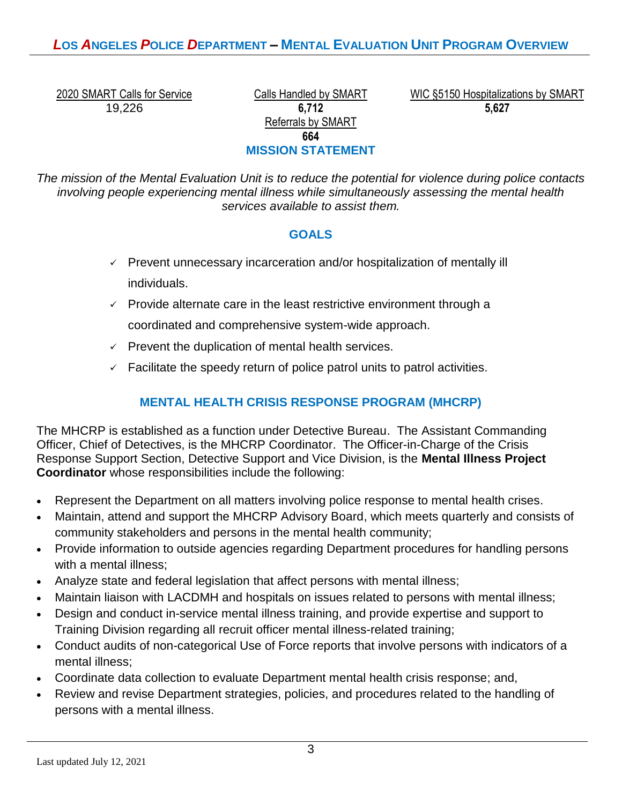# *L***OS** *A***NGELES** *P***OLICE** *D***EPARTMENT – MENTAL EVALUATION UNIT PROGRAM OVERVIEW**

19,226 **6,712**

Referrals by SMART **664 MISSION STATEMENT**

2020 SMART Calls for Service Calls Handled by SMART WIC §5150 Hospitalizations by SMART **5,627** 5%

*The mission of the Mental Evaluation Unit is to reduce the potential for violence during police contacts involving people experiencing mental illness while simultaneously assessing the mental health services available to assist them.*

# **GOALS**

- $\checkmark$  Prevent unnecessary incarceration and/or hospitalization of mentally ill individuals.
- $\checkmark$  Provide alternate care in the least restrictive environment through a coordinated and comprehensive system-wide approach.
- $\checkmark$  Prevent the duplication of mental health services.
- $\checkmark$  Facilitate the speedy return of police patrol units to patrol activities.

# **MENTAL HEALTH CRISIS RESPONSE PROGRAM (MHCRP)**

The MHCRP is established as a function under Detective Bureau. The Assistant Commanding Officer, Chief of Detectives, is the MHCRP Coordinator. The Officer-in-Charge of the Crisis Response Support Section, Detective Support and Vice Division, is the **Mental Illness Project Coordinator** whose responsibilities include the following:

- Represent the Department on all matters involving police response to mental health crises.
- Maintain, attend and support the MHCRP Advisory Board, which meets quarterly and consists of community stakeholders and persons in the mental health community;
- Provide information to outside agencies regarding Department procedures for handling persons with a mental illness;
- Analyze state and federal legislation that affect persons with mental illness;
- Maintain liaison with LACDMH and hospitals on issues related to persons with mental illness;
- Design and conduct in-service mental illness training, and provide expertise and support to Training Division regarding all recruit officer mental illness-related training;
- Conduct audits of non-categorical Use of Force reports that involve persons with indicators of a mental illness;
- Coordinate data collection to evaluate Department mental health crisis response; and,
- Review and revise Department strategies, policies, and procedures related to the handling of persons with a mental illness.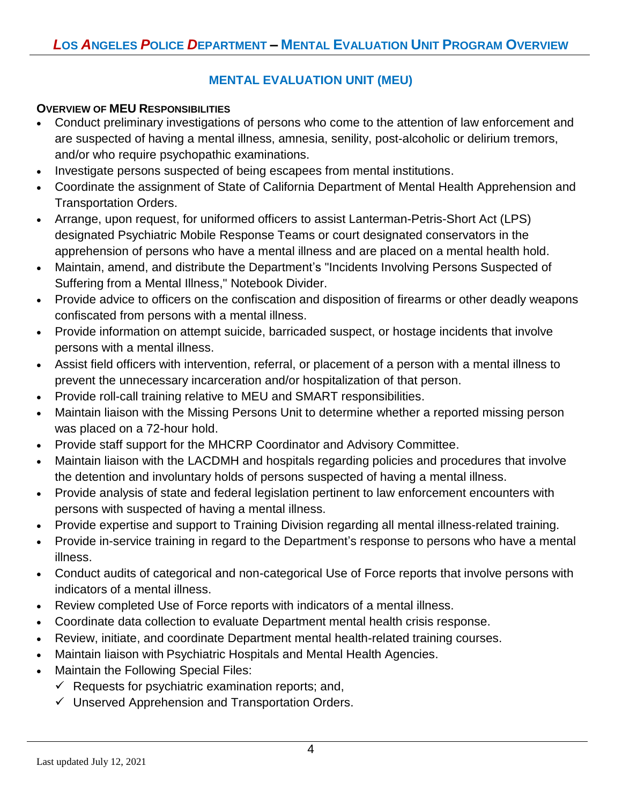# **MENTAL EVALUATION UNIT (MEU)**

# **OVERVIEW OF MEU RESPONSIBILITIES**

- Conduct preliminary investigations of persons who come to the attention of law enforcement and are suspected of having a mental illness, amnesia, senility, post-alcoholic or delirium tremors, and/or who require psychopathic examinations.
- Investigate persons suspected of being escapees from mental institutions.
- Coordinate the assignment of State of California Department of Mental Health Apprehension and Transportation Orders.
- Arrange, upon request, for uniformed officers to assist Lanterman-Petris-Short Act (LPS) designated Psychiatric Mobile Response Teams or court designated conservators in the apprehension of persons who have a mental illness and are placed on a mental health hold.
- Maintain, amend, and distribute the Department's "Incidents Involving Persons Suspected of Suffering from a Mental Illness," Notebook Divider.
- Provide advice to officers on the confiscation and disposition of firearms or other deadly weapons confiscated from persons with a mental illness.
- Provide information on attempt suicide, barricaded suspect, or hostage incidents that involve persons with a mental illness.
- Assist field officers with intervention, referral, or placement of a person with a mental illness to prevent the unnecessary incarceration and/or hospitalization of that person.
- Provide roll-call training relative to MEU and SMART responsibilities.
- Maintain liaison with the Missing Persons Unit to determine whether a reported missing person was placed on a 72-hour hold.
- Provide staff support for the MHCRP Coordinator and Advisory Committee.
- Maintain liaison with the LACDMH and hospitals regarding policies and procedures that involve the detention and involuntary holds of persons suspected of having a mental illness.
- Provide analysis of state and federal legislation pertinent to law enforcement encounters with persons with suspected of having a mental illness.
- Provide expertise and support to Training Division regarding all mental illness-related training.
- Provide in-service training in regard to the Department's response to persons who have a mental illness.
- Conduct audits of categorical and non-categorical Use of Force reports that involve persons with indicators of a mental illness.
- Review completed Use of Force reports with indicators of a mental illness.
- Coordinate data collection to evaluate Department mental health crisis response.
- Review, initiate, and coordinate Department mental health-related training courses.
- Maintain liaison with Psychiatric Hospitals and Mental Health Agencies.
- Maintain the Following Special Files:
	- $\checkmark$  Requests for psychiatric examination reports; and,
	- $\checkmark$  Unserved Apprehension and Transportation Orders.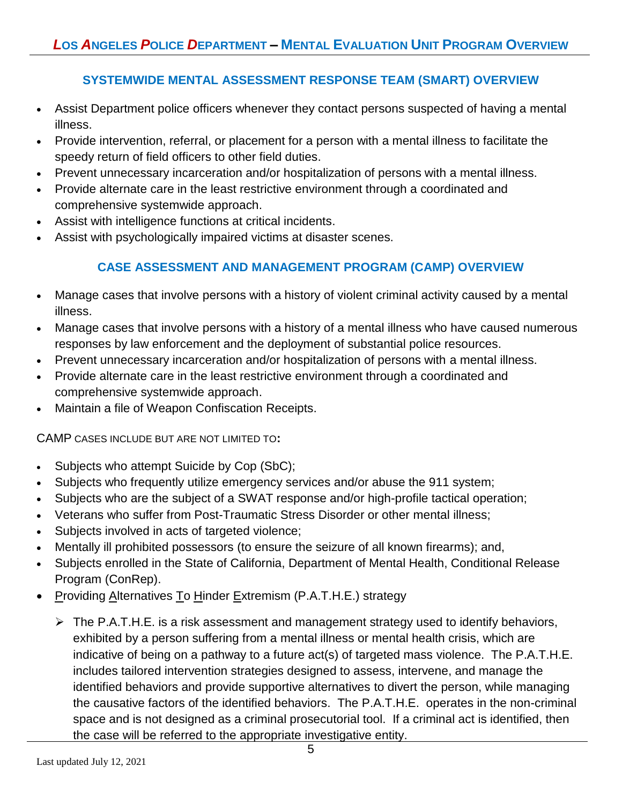# **SYSTEMWIDE MENTAL ASSESSMENT RESPONSE TEAM (SMART) OVERVIEW**

- Assist Department police officers whenever they contact persons suspected of having a mental illness.
- Provide intervention, referral, or placement for a person with a mental illness to facilitate the speedy return of field officers to other field duties.
- Prevent unnecessary incarceration and/or hospitalization of persons with a mental illness.
- Provide alternate care in the least restrictive environment through a coordinated and comprehensive systemwide approach.
- Assist with intelligence functions at critical incidents.
- Assist with psychologically impaired victims at disaster scenes.

# **CASE ASSESSMENT AND MANAGEMENT PROGRAM (CAMP) OVERVIEW**

- Manage cases that involve persons with a history of violent criminal activity caused by a mental illness.
- Manage cases that involve persons with a history of a mental illness who have caused numerous responses by law enforcement and the deployment of substantial police resources.
- Prevent unnecessary incarceration and/or hospitalization of persons with a mental illness.
- Provide alternate care in the least restrictive environment through a coordinated and comprehensive systemwide approach.
- Maintain a file of Weapon Confiscation Receipts.

CAMP CASES INCLUDE BUT ARE NOT LIMITED TO**:**

- Subjects who attempt Suicide by Cop (SbC);
- Subjects who frequently utilize emergency services and/or abuse the 911 system;
- Subjects who are the subject of a SWAT response and/or high-profile tactical operation;
- Veterans who suffer from Post-Traumatic Stress Disorder or other mental illness;
- Subjects involved in acts of targeted violence;
- Mentally ill prohibited possessors (to ensure the seizure of all known firearms); and,
- Subjects enrolled in the State of California, Department of Mental Health, Conditional Release Program (ConRep).
- Providing Alternatives To Hinder Extremism (P.A.T.H.E.) strategy
	- $\triangleright$  The P.A.T.H.E. is a risk assessment and management strategy used to identify behaviors, exhibited by a person suffering from a mental illness or mental health crisis, which are indicative of being on a pathway to a future act(s) of targeted mass violence. The P.A.T.H.E. includes tailored intervention strategies designed to assess, intervene, and manage the identified behaviors and provide supportive alternatives to divert the person, while managing the causative factors of the identified behaviors. The P.A.T.H.E. operates in the non-criminal space and is not designed as a criminal prosecutorial tool. If a criminal act is identified, then the case will be referred to the appropriate investigative entity.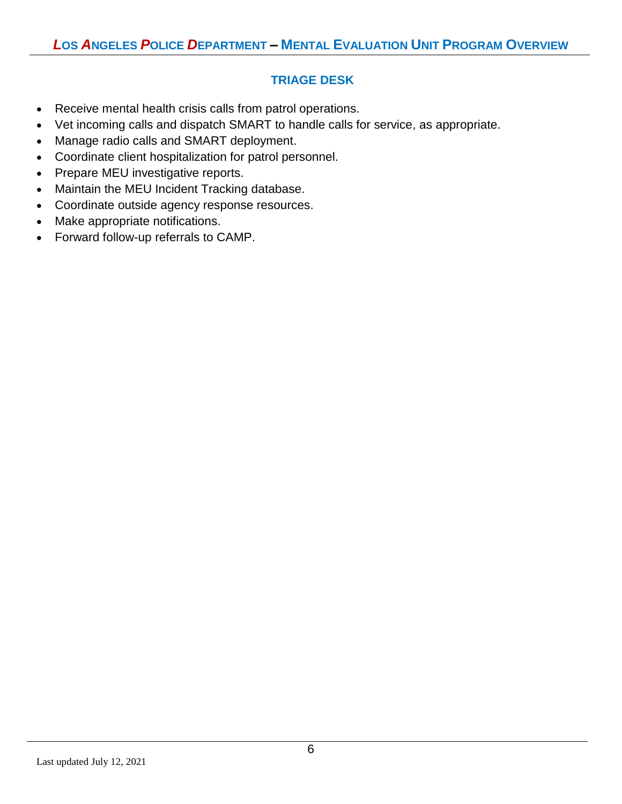# **TRIAGE DESK**

- Receive mental health crisis calls from patrol operations.
- Vet incoming calls and dispatch SMART to handle calls for service, as appropriate.
- Manage radio calls and SMART deployment.
- Coordinate client hospitalization for patrol personnel.
- Prepare MEU investigative reports.
- Maintain the MEU Incident Tracking database.
- Coordinate outside agency response resources.
- Make appropriate notifications.
- Forward follow-up referrals to CAMP.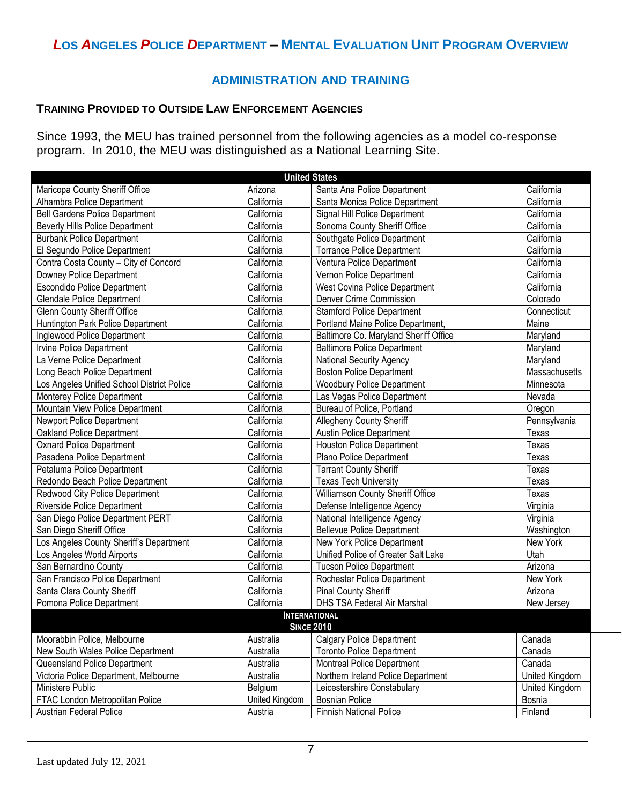#### **ADMINISTRATION AND TRAINING**

#### **TRAINING PROVIDED TO OUTSIDE LAW ENFORCEMENT AGENCIES**

Since 1993, the MEU has trained personnel from the following agencies as a model co-response program. In 2010, the MEU was distinguished as a National Learning Site.

| <b>United States</b>                       |                |                                       |                |  |  |
|--------------------------------------------|----------------|---------------------------------------|----------------|--|--|
| Maricopa County Sheriff Office             | Arizona        | Santa Ana Police Department           | California     |  |  |
| Alhambra Police Department                 | California     | Santa Monica Police Department        | California     |  |  |
| <b>Bell Gardens Police Department</b>      | California     | Signal Hill Police Department         | California     |  |  |
| <b>Beverly Hills Police Department</b>     | California     | Sonoma County Sheriff Office          | California     |  |  |
| <b>Burbank Police Department</b>           | California     | Southgate Police Department           | California     |  |  |
| El Segundo Police Department               | California     | <b>Torrance Police Department</b>     | California     |  |  |
| Contra Costa County - City of Concord      | California     | Ventura Police Department             | California     |  |  |
| Downey Police Department                   | California     | Vernon Police Department              | California     |  |  |
| <b>Escondido Police Department</b>         | California     | West Covina Police Department         | California     |  |  |
| <b>Glendale Police Department</b>          | California     | Denver Crime Commission               | Colorado       |  |  |
| <b>Glenn County Sheriff Office</b>         | California     | <b>Stamford Police Department</b>     | Connecticut    |  |  |
| Huntington Park Police Department          | California     | Portland Maine Police Department,     | Maine          |  |  |
| Inglewood Police Department                | California     | Baltimore Co. Maryland Sheriff Office | Maryland       |  |  |
| Irvine Police Department                   | California     | <b>Baltimore Police Department</b>    | Maryland       |  |  |
| La Verne Police Department                 | California     | <b>National Security Agency</b>       | Maryland       |  |  |
| Long Beach Police Department               | California     | Boston Police Department              | Massachusetts  |  |  |
| Los Angeles Unified School District Police | California     | <b>Woodbury Police Department</b>     | Minnesota      |  |  |
| Monterey Police Department                 | California     | Las Vegas Police Department           | Nevada         |  |  |
| Mountain View Police Department            | California     | Bureau of Police, Portland            | Oregon         |  |  |
| Newport Police Department                  | California     | Allegheny County Sheriff              | Pennsylvania   |  |  |
| Oakland Police Department                  | California     | <b>Austin Police Department</b>       | Texas          |  |  |
| <b>Oxnard Police Department</b>            | California     | <b>Houston Police Department</b>      | Texas          |  |  |
| Pasadena Police Department                 | California     | Plano Police Department               | Texas          |  |  |
| Petaluma Police Department                 | California     | <b>Tarrant County Sheriff</b>         | Texas          |  |  |
| Redondo Beach Police Department            | California     | <b>Texas Tech University</b>          | Texas          |  |  |
| Redwood City Police Department             | California     | Williamson County Sheriff Office      | Texas          |  |  |
| Riverside Police Department                | California     | Defense Intelligence Agency           | Virginia       |  |  |
| San Diego Police Department PERT           | California     | National Intelligence Agency          | Virginia       |  |  |
| San Diego Sheriff Office                   | California     | <b>Bellevue Police Department</b>     | Washington     |  |  |
| Los Angeles County Sheriff's Department    | California     | New York Police Department            | New York       |  |  |
| Los Angeles World Airports                 | California     | Unified Police of Greater Salt Lake   | Utah           |  |  |
| San Bernardino County                      | California     | <b>Tucson Police Department</b>       | Arizona        |  |  |
| San Francisco Police Department            | California     | Rochester Police Department           | New York       |  |  |
| Santa Clara County Sheriff                 | California     | Pinal County Sheriff                  | Arizona        |  |  |
| Pomona Police Department                   | California     | DHS TSA Federal Air Marshal           | New Jersey     |  |  |
| <b>INTERNATIONAL</b><br><b>SINCE 2010</b>  |                |                                       |                |  |  |
| Moorabbin Police, Melbourne                | Australia      | <b>Calgary Police Department</b>      | Canada         |  |  |
| New South Wales Police Department          | Australia      | <b>Toronto Police Department</b>      | Canada         |  |  |
| Queensland Police Department               | Australia      | <b>Montreal Police Department</b>     | Canada         |  |  |
| Victoria Police Department, Melbourne      | Australia      | Northern Ireland Police Department    | United Kingdom |  |  |
| Ministere Public                           | Belgium        | Leicestershire Constabulary           | United Kingdom |  |  |
| FTAC London Metropolitan Police            | United Kingdom | <b>Bosnian Police</b>                 | Bosnia         |  |  |
| Austrian Federal Police                    | Austria        | Finnish National Police               | Finland        |  |  |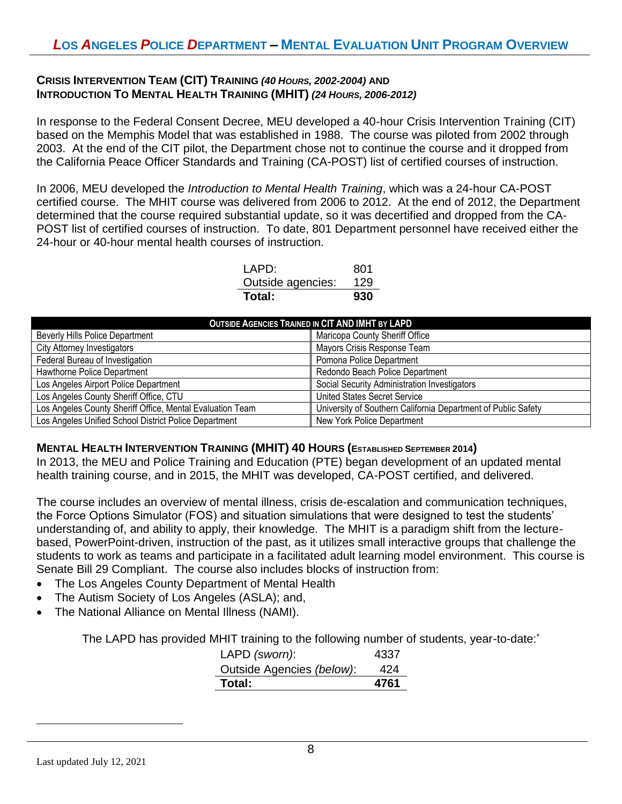#### **CRISIS INTERVENTION TEAM (CIT) TRAINING** *(40 HOURS, 2002-2004)* **AND INTRODUCTION TO MENTAL HEALTH TRAINING (MHIT)** *(24 HOURS, 2006-2012)*

In response to the Federal Consent Decree, MEU developed a 40-hour Crisis Intervention Training (CIT) based on the Memphis Model that was established in 1988. The course was piloted from 2002 through 2003. At the end of the CIT pilot, the Department chose not to continue the course and it dropped from the California Peace Officer Standards and Training (CA-POST) list of certified courses of instruction.

In 2006, MEU developed the *Introduction to Mental Health Training*, which was a 24-hour CA-POST certified course. The MHIT course was delivered from 2006 to 2012. At the end of 2012, the Department determined that the course required substantial update, so it was decertified and dropped from the CA-POST list of certified courses of instruction. To date, 801 Department personnel have received either the 24-hour or 40-hour mental health courses of instruction.

| Total:            | 930 |
|-------------------|-----|
| Outside agencies: | 129 |
| I APD:            | 801 |

| <b>OUTSIDE AGENCIES TRAINED IN CIT AND IMHT BY LAPD</b>   |                                                               |  |  |
|-----------------------------------------------------------|---------------------------------------------------------------|--|--|
| <b>Beverly Hills Police Department</b>                    | Maricopa County Sheriff Office                                |  |  |
| <b>City Attorney Investigators</b>                        | Mayors Crisis Response Team                                   |  |  |
| Federal Bureau of Investigation                           | Pomona Police Department                                      |  |  |
| Hawthorne Police Department                               | Redondo Beach Police Department                               |  |  |
| Los Angeles Airport Police Department                     | Social Security Administration Investigators                  |  |  |
| Los Angeles County Sheriff Office, CTU                    | <b>United States Secret Service</b>                           |  |  |
| Los Angeles County Sheriff Office, Mental Evaluation Team | University of Southern California Department of Public Safety |  |  |
| Los Angeles Unified School District Police Department     | New York Police Department                                    |  |  |

#### **MENTAL HEALTH INTERVENTION TRAINING (MHIT) 40 HOURS (ESTABLISHED SEPTEMBER 2014)**

In 2013, the MEU and Police Training and Education (PTE) began development of an updated mental health training course, and in 2015, the MHIT was developed, CA-POST certified, and delivered.

The course includes an overview of mental illness, crisis de-escalation and communication techniques, the Force Options Simulator (FOS) and situation simulations that were designed to test the students' understanding of, and ability to apply, their knowledge. The MHIT is a paradigm shift from the lecturebased, PowerPoint-driven, instruction of the past, as it utilizes small interactive groups that challenge the students to work as teams and participate in a facilitated adult learning model environment. This course is Senate Bill 29 Compliant. The course also includes blocks of instruction from:

- The Los Angeles County Department of Mental Health
- The Autism Society of Los Angeles (ASLA); and,
- The National Alliance on Mental Illness (NAMI).

The LAPD has provided MHIT training to the following number of students, year-to-date:\*

| Total:                    | 4761 |
|---------------------------|------|
| Outside Agencies (below): | 424  |
| LAPD (sworn):             | 4337 |

 $\overline{\phantom{a}}$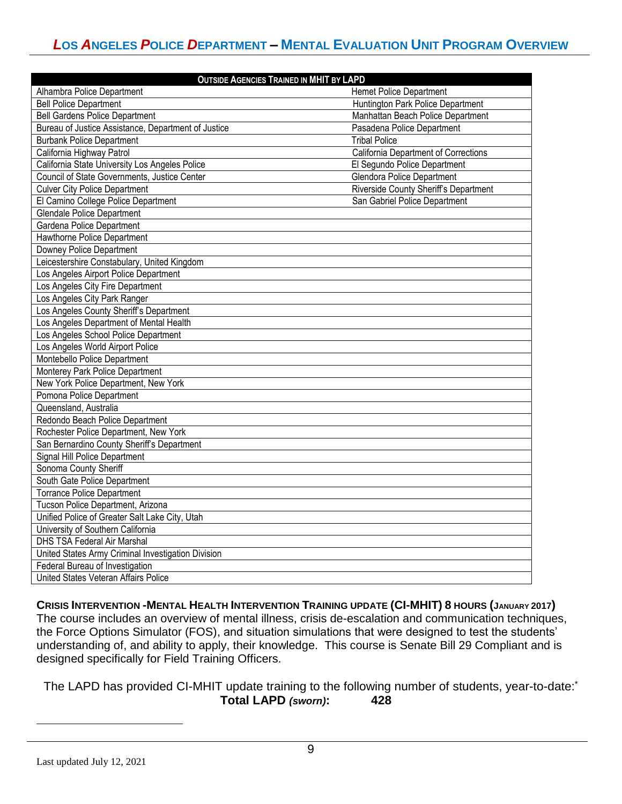| <b>OUTSIDE AGENCIES TRAINED IN MHIT BY LAPD</b>     |                                       |  |  |
|-----------------------------------------------------|---------------------------------------|--|--|
| Alhambra Police Department                          | <b>Hemet Police Department</b>        |  |  |
| <b>Bell Police Department</b>                       | Huntington Park Police Department     |  |  |
| <b>Bell Gardens Police Department</b>               | Manhattan Beach Police Department     |  |  |
| Bureau of Justice Assistance, Department of Justice | Pasadena Police Department            |  |  |
| <b>Burbank Police Department</b>                    | <b>Tribal Police</b>                  |  |  |
| California Highway Patrol                           | California Department of Corrections  |  |  |
| California State University Los Angeles Police      | El Segundo Police Department          |  |  |
| Council of State Governments, Justice Center        | <b>Glendora Police Department</b>     |  |  |
| <b>Culver City Police Department</b>                | Riverside County Sheriff's Department |  |  |
| El Camino College Police Department                 | San Gabriel Police Department         |  |  |
| <b>Glendale Police Department</b>                   |                                       |  |  |
| Gardena Police Department                           |                                       |  |  |
| Hawthorne Police Department                         |                                       |  |  |
| Downey Police Department                            |                                       |  |  |
| Leicestershire Constabulary, United Kingdom         |                                       |  |  |
| Los Angeles Airport Police Department               |                                       |  |  |
| Los Angeles City Fire Department                    |                                       |  |  |
| Los Angeles City Park Ranger                        |                                       |  |  |
| Los Angeles County Sheriff's Department             |                                       |  |  |
| Los Angeles Department of Mental Health             |                                       |  |  |
| Los Angeles School Police Department                |                                       |  |  |
| Los Angeles World Airport Police                    |                                       |  |  |
| Montebello Police Department                        |                                       |  |  |
| Monterey Park Police Department                     |                                       |  |  |
| New York Police Department, New York                |                                       |  |  |
| Pomona Police Department                            |                                       |  |  |
| Queensland, Australia                               |                                       |  |  |
| Redondo Beach Police Department                     |                                       |  |  |
| Rochester Police Department, New York               |                                       |  |  |
| San Bernardino County Sheriff's Department          |                                       |  |  |
| Signal Hill Police Department                       |                                       |  |  |
| Sonoma County Sheriff                               |                                       |  |  |
| South Gate Police Department                        |                                       |  |  |
| <b>Torrance Police Department</b>                   |                                       |  |  |
| Tucson Police Department, Arizona                   |                                       |  |  |
| Unified Police of Greater Salt Lake City, Utah      |                                       |  |  |
| University of Southern California                   |                                       |  |  |
| DHS TSA Federal Air Marshal                         |                                       |  |  |
| United States Army Criminal Investigation Division  |                                       |  |  |
| Federal Bureau of Investigation                     |                                       |  |  |
| United States Veteran Affairs Police                |                                       |  |  |

CRISIS INTERVENTION -MENTAL HEALTH INTERVENTION TRAINING UPDATE (CI-MHIT) 8 HOURS (JANUARY 2017) The course includes an overview of mental illness, crisis de-escalation and communication techniques, the Force Options Simulator (FOS), and situation simulations that were designed to test the students' understanding of, and ability to apply, their knowledge. This course is Senate Bill 29 Compliant and is designed specifically for Field Training Officers.

The LAPD has provided CI-MHIT update training to the following number of students, year-to-date:<sup>\*</sup> **Total LAPD** *(sworn)***: 428**

 $\overline{\phantom{a}}$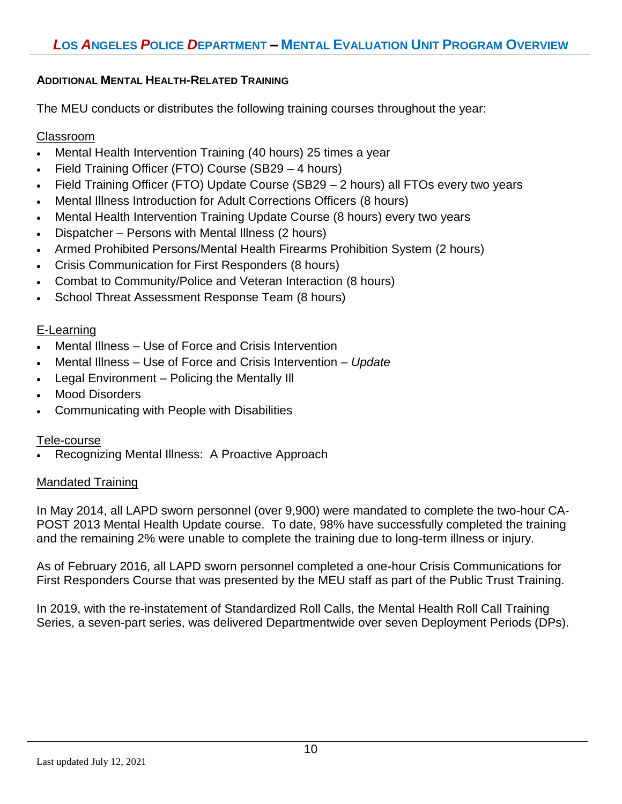## **ADDITIONAL MENTAL HEALTH-RELATED TRAINING**

The MEU conducts or distributes the following training courses throughout the year:

# Classroom

- Mental Health Intervention Training (40 hours) 25 times a year
- Field Training Officer (FTO) Course (SB29 4 hours)
- Field Training Officer (FTO) Update Course (SB29 2 hours) all FTOs every two years
- Mental Illness Introduction for Adult Corrections Officers (8 hours)
- Mental Health Intervention Training Update Course (8 hours) every two years
- Dispatcher Persons with Mental Illness (2 hours)
- Armed Prohibited Persons/Mental Health Firearms Prohibition System (2 hours)
- Crisis Communication for First Responders (8 hours)
- Combat to Community/Police and Veteran Interaction (8 hours)
- School Threat Assessment Response Team (8 hours)

# E-Learning

- Mental Illness Use of Force and Crisis Intervention
- Mental Illness Use of Force and Crisis Intervention *Update*
- Legal Environment Policing the Mentally Ill
- Mood Disorders
- Communicating with People with Disabilities

#### Tele-course

• Recognizing Mental Illness: A Proactive Approach

#### Mandated Training

In May 2014, all LAPD sworn personnel (over 9,900) were mandated to complete the two-hour CA-POST 2013 Mental Health Update course. To date, 98% have successfully completed the training and the remaining 2% were unable to complete the training due to long-term illness or injury.

As of February 2016, all LAPD sworn personnel completed a one-hour Crisis Communications for First Responders Course that was presented by the MEU staff as part of the Public Trust Training.

In 2019, with the re-instatement of Standardized Roll Calls, the Mental Health Roll Call Training Series, a seven-part series, was delivered Departmentwide over seven Deployment Periods (DPs).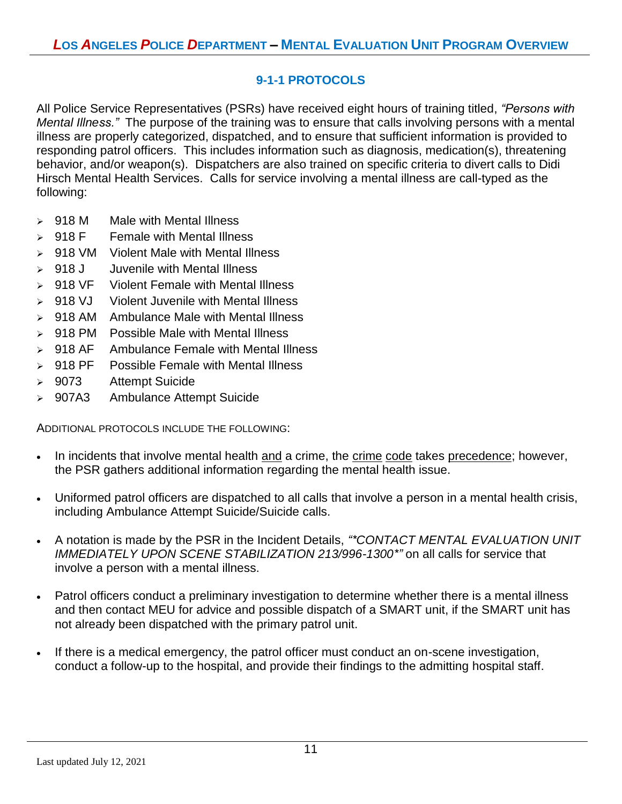# **9-1-1 PROTOCOLS**

All Police Service Representatives (PSRs) have received eight hours of training titled, *"Persons with Mental Illness."* The purpose of the training was to ensure that calls involving persons with a mental illness are properly categorized, dispatched, and to ensure that sufficient information is provided to responding patrol officers. This includes information such as diagnosis, medication(s), threatening behavior, and/or weapon(s). Dispatchers are also trained on specific criteria to divert calls to Didi Hirsch Mental Health Services. Calls for service involving a mental illness are call-typed as the following:

- ➢ 918 M Male with Mental Illness
- $> 918$  F Female with Mental Illness
- ➢ 918 VM Violent Male with Mental Illness
- ➢ 918 J Juvenile with Mental Illness
- ➢ 918 VF Violent Female with Mental Illness
- ➢ 918 VJ Violent Juvenile with Mental Illness
- ➢ 918 AM Ambulance Male with Mental Illness
- ➢ 918 PM Possible Male with Mental Illness
- ➢ 918 AF Ambulance Female with Mental Illness
- ➢ 918 PF Possible Female with Mental Illness
- ➢ 9073 Attempt Suicide
- ➢ 907A3 Ambulance Attempt Suicide

ADDITIONAL PROTOCOLS INCLUDE THE FOLLOWING:

- In incidents that involve mental health and a crime, the crime code takes precedence; however, the PSR gathers additional information regarding the mental health issue.
- Uniformed patrol officers are dispatched to all calls that involve a person in a mental health crisis, including Ambulance Attempt Suicide/Suicide calls.
- A notation is made by the PSR in the Incident Details, *"\*CONTACT MENTAL EVALUATION UNIT IMMEDIATELY UPON SCENE STABILIZATION 213/996-1300\*"* on all calls for service that involve a person with a mental illness.
- Patrol officers conduct a preliminary investigation to determine whether there is a mental illness and then contact MEU for advice and possible dispatch of a SMART unit, if the SMART unit has not already been dispatched with the primary patrol unit.
- If there is a medical emergency, the patrol officer must conduct an on-scene investigation, conduct a follow-up to the hospital, and provide their findings to the admitting hospital staff.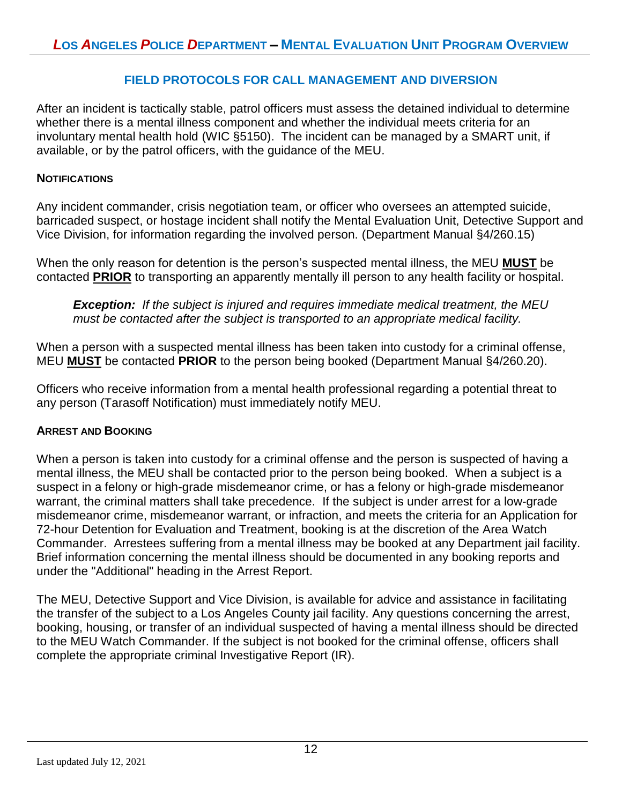#### **FIELD PROTOCOLS FOR CALL MANAGEMENT AND DIVERSION**

After an incident is tactically stable, patrol officers must assess the detained individual to determine whether there is a mental illness component and whether the individual meets criteria for an involuntary mental health hold (WIC §5150). The incident can be managed by a SMART unit, if available, or by the patrol officers, with the guidance of the MEU.

#### **NOTIFICATIONS**

Any incident commander, crisis negotiation team, or officer who oversees an attempted suicide, barricaded suspect, or hostage incident shall notify the Mental Evaluation Unit, Detective Support and Vice Division, for information regarding the involved person. (Department Manual §4/260.15)

When the only reason for detention is the person's suspected mental illness, the MEU **MUST** be contacted **PRIOR** to transporting an apparently mentally ill person to any health facility or hospital.

*Exception: If the subject is injured and requires immediate medical treatment, the MEU must be contacted after the subject is transported to an appropriate medical facility.*

When a person with a suspected mental illness has been taken into custody for a criminal offense, MEU **MUST** be contacted **PRIOR** to the person being booked (Department Manual §4/260.20).

Officers who receive information from a mental health professional regarding a potential threat to any person (Tarasoff Notification) must immediately notify MEU.

#### **ARREST AND BOOKING**

When a person is taken into custody for a criminal offense and the person is suspected of having a mental illness, the MEU shall be contacted prior to the person being booked. When a subject is a suspect in a felony or high-grade misdemeanor crime, or has a felony or high-grade misdemeanor warrant, the criminal matters shall take precedence. If the subject is under arrest for a low-grade misdemeanor crime, misdemeanor warrant, or infraction, and meets the criteria for an Application for 72-hour Detention for Evaluation and Treatment, booking is at the discretion of the Area Watch Commander. Arrestees suffering from a mental illness may be booked at any Department jail facility. Brief information concerning the mental illness should be documented in any booking reports and under the "Additional" heading in the Arrest Report.

The MEU, Detective Support and Vice Division, is available for advice and assistance in facilitating the transfer of the subject to a Los Angeles County jail facility. Any questions concerning the arrest, booking, housing, or transfer of an individual suspected of having a mental illness should be directed to the MEU Watch Commander. If the subject is not booked for the criminal offense, officers shall complete the appropriate criminal Investigative Report (IR).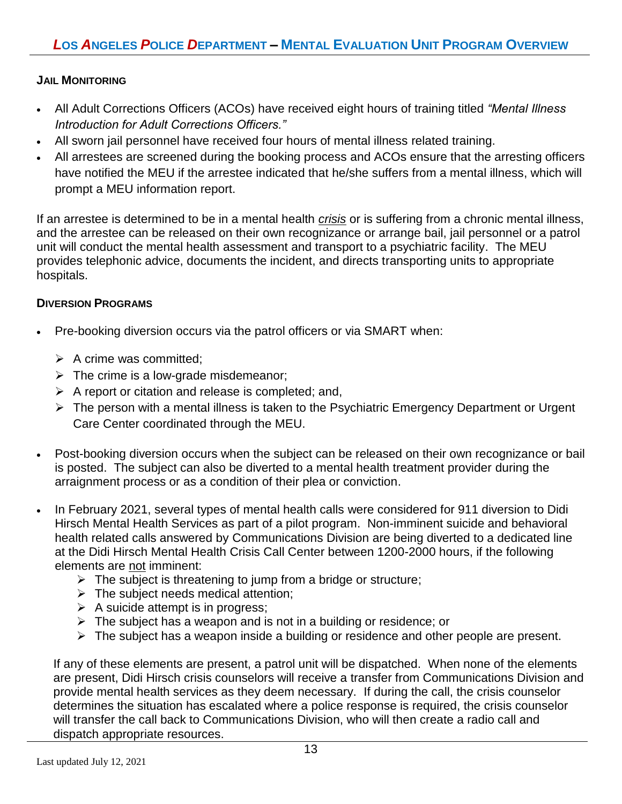## **JAIL MONITORING**

- All Adult Corrections Officers (ACOs) have received eight hours of training titled *"Mental Illness Introduction for Adult Corrections Officers."*
- All sworn jail personnel have received four hours of mental illness related training.
- All arrestees are screened during the booking process and ACOs ensure that the arresting officers have notified the MEU if the arrestee indicated that he/she suffers from a mental illness, which will prompt a MEU information report.

If an arrestee is determined to be in a mental health *crisis* or is suffering from a chronic mental illness, and the arrestee can be released on their own recognizance or arrange bail, jail personnel or a patrol unit will conduct the mental health assessment and transport to a psychiatric facility. The MEU provides telephonic advice, documents the incident, and directs transporting units to appropriate hospitals.

#### **DIVERSION PROGRAMS**

- Pre-booking diversion occurs via the patrol officers or via SMART when:
	- $\triangleright$  A crime was committed:
	- $\triangleright$  The crime is a low-grade misdemeanor;
	- $\triangleright$  A report or citation and release is completed; and,
	- ➢ The person with a mental illness is taken to the Psychiatric Emergency Department or Urgent Care Center coordinated through the MEU.
- Post-booking diversion occurs when the subject can be released on their own recognizance or bail is posted. The subject can also be diverted to a mental health treatment provider during the arraignment process or as a condition of their plea or conviction.
- In February 2021, several types of mental health calls were considered for 911 diversion to Didi Hirsch Mental Health Services as part of a pilot program. Non-imminent suicide and behavioral health related calls answered by Communications Division are being diverted to a dedicated line at the Didi Hirsch Mental Health Crisis Call Center between 1200-2000 hours, if the following elements are not imminent:
	- $\triangleright$  The subject is threatening to jump from a bridge or structure;
	- $\triangleright$  The subject needs medical attention;
	- $\triangleright$  A suicide attempt is in progress;
	- $\triangleright$  The subject has a weapon and is not in a building or residence; or
	- ➢ The subject has a weapon inside a building or residence and other people are present.

If any of these elements are present, a patrol unit will be dispatched. When none of the elements are present, Didi Hirsch crisis counselors will receive a transfer from Communications Division and provide mental health services as they deem necessary. If during the call, the crisis counselor determines the situation has escalated where a police response is required, the crisis counselor will transfer the call back to Communications Division, who will then create a radio call and dispatch appropriate resources.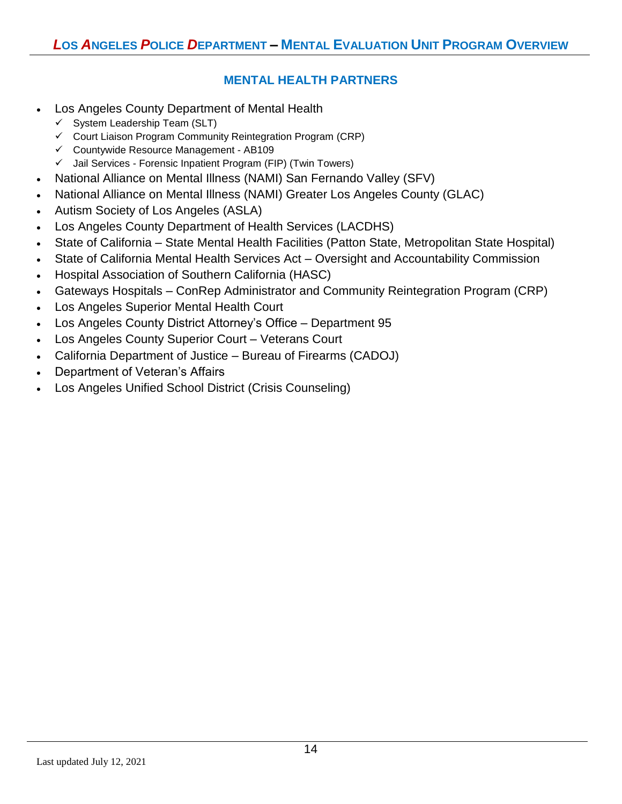# **MENTAL HEALTH PARTNERS**

- Los Angeles County Department of Mental Health
	- $\checkmark$  System Leadership Team (SLT)
	- ✓ Court Liaison Program Community Reintegration Program (CRP)
	- ✓ Countywide Resource Management AB109
	- ✓ Jail Services Forensic Inpatient Program (FIP) (Twin Towers)
- National Alliance on Mental Illness (NAMI) San Fernando Valley (SFV)
- National Alliance on Mental Illness (NAMI) Greater Los Angeles County (GLAC)
- Autism Society of Los Angeles (ASLA)
- Los Angeles County Department of Health Services (LACDHS)
- State of California State Mental Health Facilities (Patton State, Metropolitan State Hospital)
- State of California Mental Health Services Act Oversight and Accountability Commission
- Hospital Association of Southern California (HASC)
- Gateways Hospitals ConRep Administrator and Community Reintegration Program (CRP)
- Los Angeles Superior Mental Health Court
- Los Angeles County District Attorney's Office Department 95
- Los Angeles County Superior Court Veterans Court
- California Department of Justice Bureau of Firearms (CADOJ)
- Department of Veteran's Affairs
- Los Angeles Unified School District (Crisis Counseling)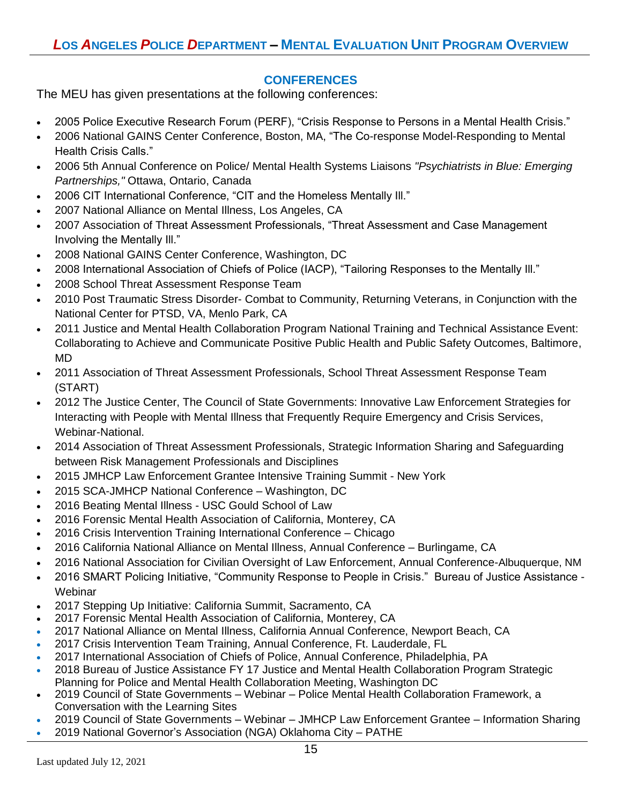## **CONFERENCES**

The MEU has given presentations at the following conferences:

- 2005 Police Executive Research Forum (PERF), "Crisis Response to Persons in a Mental Health Crisis."
- 2006 National GAINS Center Conference, Boston, MA, "The Co-response Model-Responding to Mental Health Crisis Calls."
- 2006 5th Annual Conference on Police/ Mental Health Systems Liaisons *"Psychiatrists in Blue: Emerging Partnerships,"* Ottawa, Ontario, Canada
- 2006 CIT International Conference, "CIT and the Homeless Mentally Ill."
- 2007 National Alliance on Mental Illness, Los Angeles, CA
- 2007 Association of Threat Assessment Professionals, "Threat Assessment and Case Management Involving the Mentally Ill."
- 2008 National GAINS Center Conference, Washington, DC
- 2008 International Association of Chiefs of Police (IACP), "Tailoring Responses to the Mentally Ill."
- 2008 School Threat Assessment Response Team
- 2010 Post Traumatic Stress Disorder- Combat to Community, Returning Veterans, in Conjunction with the National Center for PTSD, VA, Menlo Park, CA
- 2011 Justice and Mental Health Collaboration Program National Training and Technical Assistance Event: Collaborating to Achieve and Communicate Positive Public Health and Public Safety Outcomes, Baltimore, MD
- 2011 Association of Threat Assessment Professionals, School Threat Assessment Response Team (START)
- 2012 The Justice Center, The Council of State Governments: Innovative Law Enforcement Strategies for Interacting with People with Mental Illness that Frequently Require Emergency and Crisis Services, Webinar-National.
- 2014 Association of Threat Assessment Professionals, Strategic Information Sharing and Safeguarding between Risk Management Professionals and Disciplines
- 2015 JMHCP Law Enforcement Grantee Intensive Training Summit New York
- 2015 SCA-JMHCP National Conference Washington, DC
- 2016 Beating Mental Illness USC Gould School of Law
- 2016 Forensic Mental Health Association of California, Monterey, CA
- 2016 Crisis Intervention Training International Conference Chicago
- 2016 California National Alliance on Mental Illness, Annual Conference Burlingame, CA
- 2016 National Association for Civilian Oversight of Law Enforcement, Annual Conference-Albuquerque, NM
- 2016 SMART Policing Initiative, "Community Response to People in Crisis." Bureau of Justice Assistance **Webinar**
- 2017 Stepping Up Initiative: California Summit, Sacramento, CA
- 2017 Forensic Mental Health Association of California, Monterey, CA
- 2017 National Alliance on Mental Illness, California Annual Conference, Newport Beach, CA
- 2017 Crisis Intervention Team Training, Annual Conference, Ft. Lauderdale, FL
- 2017 International Association of Chiefs of Police, Annual Conference, Philadelphia, PA
- 2018 Bureau of Justice Assistance FY 17 Justice and Mental Health Collaboration Program Strategic Planning for Police and Mental Health Collaboration Meeting, Washington DC
- 2019 Council of State Governments Webinar Police Mental Health Collaboration Framework, a Conversation with the Learning Sites
- 2019 Council of State Governments Webinar JMHCP Law Enforcement Grantee Information Sharing
- 2019 National Governor's Association (NGA) Oklahoma City PATHE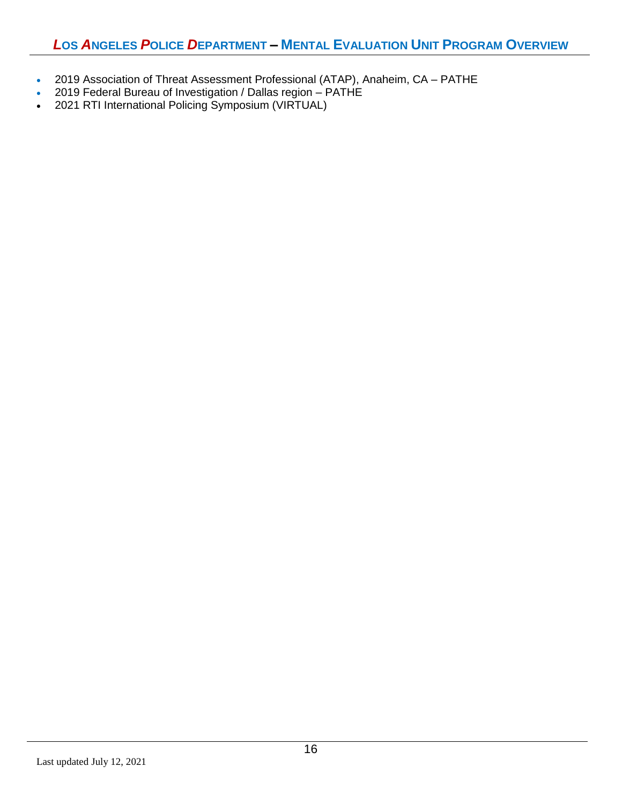- 2019 Association of Threat Assessment Professional (ATAP), Anaheim, CA PATHE
- 2019 Federal Bureau of Investigation / Dallas region PATHE
- 2021 RTI International Policing Symposium (VIRTUAL)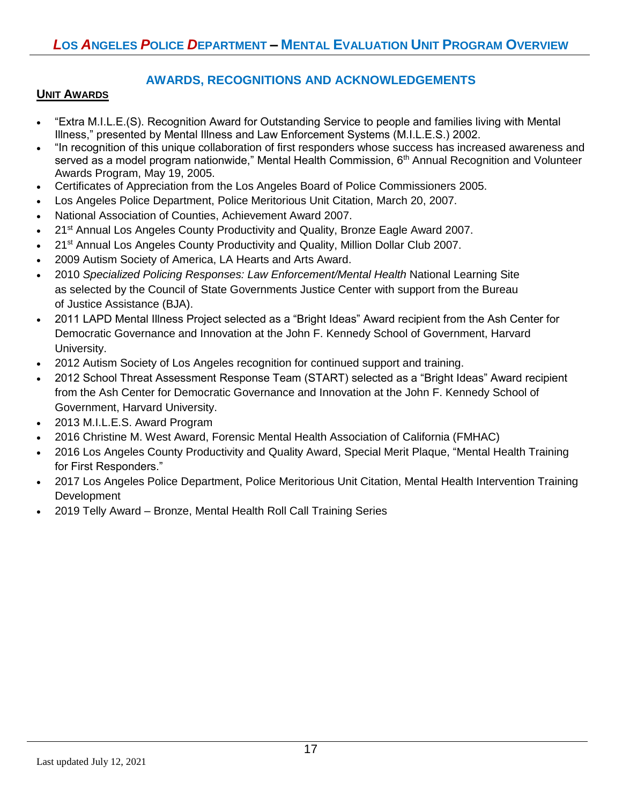## **AWARDS, RECOGNITIONS AND ACKNOWLEDGEMENTS**

#### **UNIT AWARDS**

- "Extra M.I.L.E.(S). Recognition Award for Outstanding Service to people and families living with Mental Illness," presented by Mental Illness and Law Enforcement Systems (M.I.L.E.S.) 2002.
- "In recognition of this unique collaboration of first responders whose success has increased awareness and served as a model program nationwide," Mental Health Commission, 6<sup>th</sup> Annual Recognition and Volunteer Awards Program, May 19, 2005.
- Certificates of Appreciation from the Los Angeles Board of Police Commissioners 2005.
- Los Angeles Police Department, Police Meritorious Unit Citation, March 20, 2007.
- National Association of Counties, Achievement Award 2007.
- 21<sup>st</sup> Annual Los Angeles County Productivity and Quality, Bronze Eagle Award 2007.
- 21<sup>st</sup> Annual Los Angeles County Productivity and Quality, Million Dollar Club 2007.
- 2009 Autism Society of America, LA Hearts and Arts Award.
- 2010 *Specialized Policing Responses: Law Enforcement/Mental Health* National Learning Site as selected by the Council of State Governments Justice Center with support from the Bureau of Justice Assistance (BJA).
- 2011 LAPD Mental Illness Project selected as a "Bright Ideas" Award recipient from the Ash Center for Democratic Governance and Innovation at the John F. Kennedy School of Government, Harvard University.
- 2012 Autism Society of Los Angeles recognition for continued support and training.
- 2012 School Threat Assessment Response Team (START) selected as a "Bright Ideas" Award recipient from the Ash Center for Democratic Governance and Innovation at the John F. Kennedy School of Government, Harvard University.
- 2013 M.I.L.E.S. Award Program
- 2016 Christine M. West Award, Forensic Mental Health Association of California (FMHAC)
- 2016 Los Angeles County Productivity and Quality Award, Special Merit Plaque, "Mental Health Training for First Responders."
- 2017 Los Angeles Police Department, Police Meritorious Unit Citation, Mental Health Intervention Training Development
- 2019 Telly Award Bronze, Mental Health Roll Call Training Series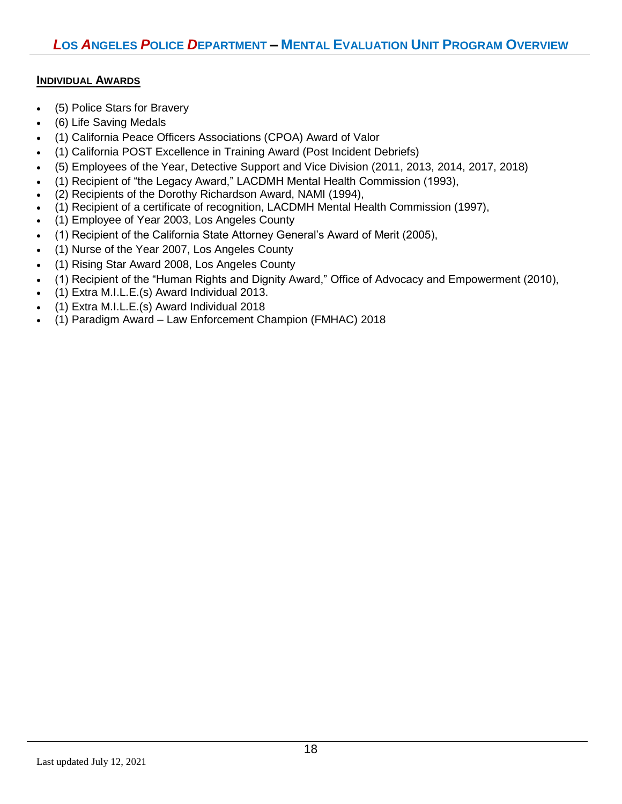#### **INDIVIDUAL AWARDS**

- (5) Police Stars for Bravery
- (6) Life Saving Medals
- (1) California Peace Officers Associations (CPOA) Award of Valor
- (1) California POST Excellence in Training Award (Post Incident Debriefs)
- (5) Employees of the Year, Detective Support and Vice Division (2011, 2013, 2014, 2017, 2018)
- (1) Recipient of "the Legacy Award," LACDMH Mental Health Commission (1993),
- (2) Recipients of the Dorothy Richardson Award, NAMI (1994),
- (1) Recipient of a certificate of recognition, LACDMH Mental Health Commission (1997),
- (1) Employee of Year 2003, Los Angeles County
- (1) Recipient of the California State Attorney General's Award of Merit (2005),
- (1) Nurse of the Year 2007, Los Angeles County
- (1) Rising Star Award 2008, Los Angeles County
- (1) Recipient of the "Human Rights and Dignity Award," Office of Advocacy and Empowerment (2010),
- (1) Extra M.I.L.E.(s) Award Individual 2013.
- (1) Extra M.I.L.E.(s) Award Individual 2018
- (1) Paradigm Award Law Enforcement Champion (FMHAC) 2018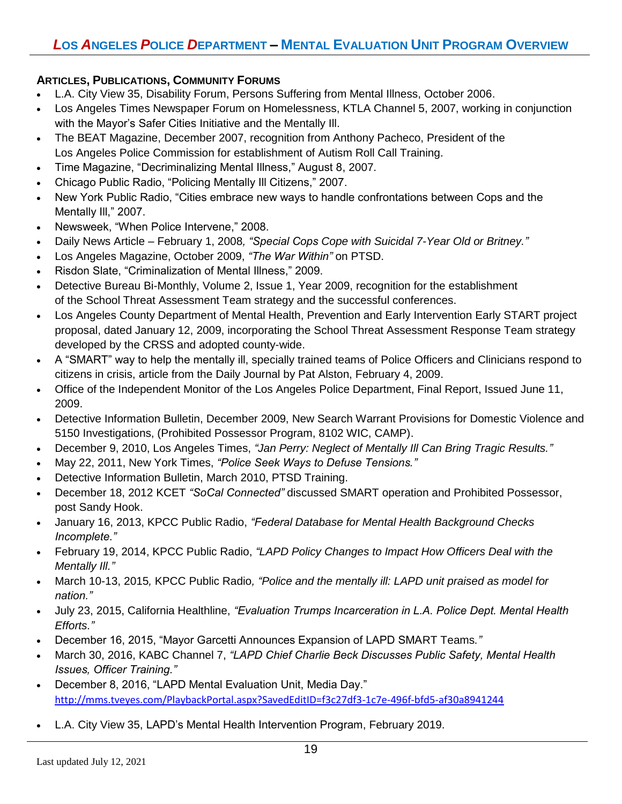#### **ARTICLES, PUBLICATIONS, COMMUNITY FORUMS**

- L.A. City View 35, Disability Forum, Persons Suffering from Mental Illness, October 2006.
- Los Angeles Times Newspaper Forum on Homelessness, KTLA Channel 5, 2007, working in conjunction with the Mayor's Safer Cities Initiative and the Mentally Ill.
- The BEAT Magazine, December 2007, recognition from Anthony Pacheco, President of the Los Angeles Police Commission for establishment of Autism Roll Call Training.
- Time Magazine, "Decriminalizing Mental Illness," August 8, 2007.
- Chicago Public Radio, "Policing Mentally Ill Citizens," 2007.
- New York Public Radio, "Cities embrace new ways to handle confrontations between Cops and the Mentally III," 2007.
- Newsweek, "When Police Intervene," 2008.
- Daily News Article February 1, 2008*, "Special Cops Cope with Suicidal 7-Year Old or Britney."*
- Los Angeles Magazine, October 2009, *"The War Within"* on PTSD.
- Risdon Slate, "Criminalization of Mental Illness," 2009.
- Detective Bureau Bi-Monthly, Volume 2, Issue 1, Year 2009, recognition for the establishment of the School Threat Assessment Team strategy and the successful conferences.
- Los Angeles County Department of Mental Health, Prevention and Early Intervention Early START project proposal, dated January 12, 2009, incorporating the School Threat Assessment Response Team strategy developed by the CRSS and adopted county-wide.
- A "SMART" way to help the mentally ill, specially trained teams of Police Officers and Clinicians respond to citizens in crisis, article from the Daily Journal by Pat Alston, February 4, 2009.
- Office of the Independent Monitor of the Los Angeles Police Department, Final Report, Issued June 11, 2009.
- Detective Information Bulletin, December 2009, New Search Warrant Provisions for Domestic Violence and 5150 Investigations, (Prohibited Possessor Program, 8102 WIC, CAMP).
- December 9, 2010, Los Angeles Times, *"Jan Perry: Neglect of Mentally Ill Can Bring Tragic Results."*
- May 22, 2011, New York Times, *"Police Seek Ways to Defuse Tensions."*
- Detective Information Bulletin, March 2010, PTSD Training.
- December 18, 2012 KCET *"SoCal Connected"* discussed SMART operation and Prohibited Possessor, post Sandy Hook.
- January 16, 2013, KPCC Public Radio, *"Federal Database for Mental Health Background Checks Incomplete."*
- February 19, 2014, KPCC Public Radio, *["LAPD Policy Changes to Impact How Officers Deal with the](http://www.scpr.org/programs/take-two/2014/02/19/36111/lapd-policy-change-to-impact-how-officers-deal-wit/)  [Mentally Ill.](http://www.scpr.org/programs/take-two/2014/02/19/36111/lapd-policy-change-to-impact-how-officers-deal-wit/)"*
- March 10-13, 2015*,* KPCC Public Radio*, "Police and the mentally ill: LAPD unit praised as model for nation."*
- July 23, 2015, California Healthline, *"Evaluation Trumps Incarceration in L.A. Police Dept. Mental Health Efforts."*
- December 16, 2015, "Mayor Garcetti Announces Expansion of LAPD SMART Teams*."*
- March 30, 2016, KABC Channel 7, *"LAPD Chief Charlie Beck Discusses Public Safety, Mental Health Issues, Officer Training."*
- December 8, 2016, "LAPD Mental Evaluation Unit, Media Day." <http://mms.tveyes.com/PlaybackPortal.aspx?SavedEditID=f3c27df3-1c7e-496f-bfd5-af30a8941244>
- L.A. City View 35, LAPD's Mental Health Intervention Program, February 2019.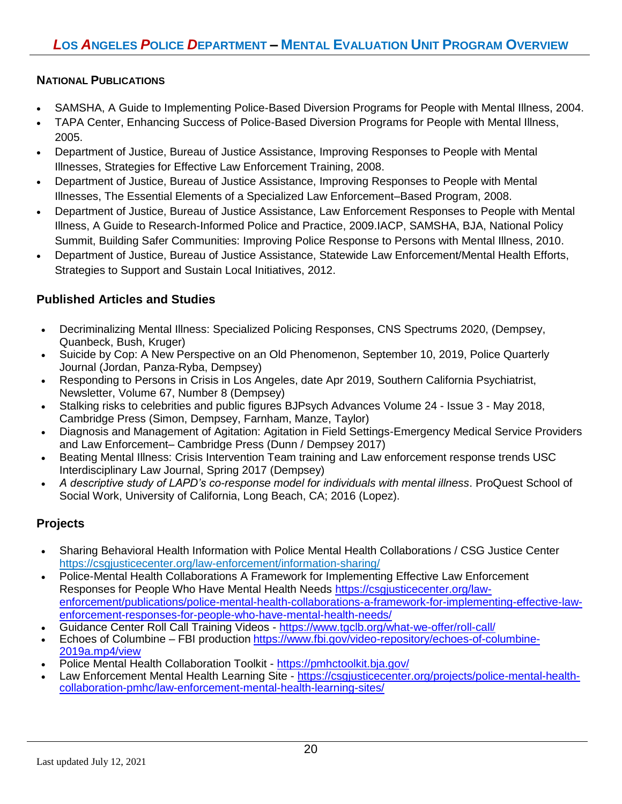## **NATIONAL PUBLICATIONS**

- SAMSHA, A Guide to Implementing Police-Based Diversion Programs for People with Mental Illness, 2004.
- TAPA Center, Enhancing Success of Police-Based Diversion Programs for People with Mental Illness, 2005.
- Department of Justice, Bureau of Justice Assistance, Improving Responses to People with Mental Illnesses, Strategies for Effective Law Enforcement Training, 2008.
- Department of Justice, Bureau of Justice Assistance, Improving Responses to People with Mental Illnesses, The Essential Elements of a Specialized Law Enforcement–Based Program, 2008.
- Department of Justice, Bureau of Justice Assistance, Law Enforcement Responses to People with Mental Illness, A Guide to Research-Informed Police and Practice, 2009.IACP, SAMSHA, BJA, National Policy Summit, Building Safer Communities: Improving Police Response to Persons with Mental Illness, 2010.
- Department of Justice, Bureau of Justice Assistance, Statewide Law Enforcement/Mental Health Efforts, Strategies to Support and Sustain Local Initiatives, 2012.

# **Published Articles and Studies**

- Decriminalizing Mental Illness: Specialized Policing Responses, CNS Spectrums 2020, (Dempsey, Quanbeck, Bush, Kruger)
- Suicide by Cop: A New Perspective on an Old Phenomenon, September 10, 2019, Police Quarterly Journal (Jordan, Panza-Ryba, Dempsey)
- Responding to Persons in Crisis in Los Angeles, date Apr 2019, Southern California Psychiatrist, Newsletter, Volume 67, Number 8 (Dempsey)
- Stalking risks to celebrities and public figures BJPsych Advances Volume 24 Issue 3 May 2018, Cambridge Press (Simon, Dempsey, Farnham, Manze, Taylor)
- Diagnosis and Management of Agitation: Agitation in Field Settings-Emergency Medical Service Providers and Law Enforcement– Cambridge Press (Dunn / Dempsey 2017)
- Beating Mental Illness: Crisis Intervention Team training and Law enforcement response trends USC Interdisciplinary Law Journal, Spring 2017 (Dempsey)
- *A descriptive study of LAPD's co-response model for individuals with mental illness*. ProQuest School of Social Work, University of California, Long Beach, CA; 2016 (Lopez).

# **Projects**

- Sharing Behavioral Health Information with Police Mental Health Collaborations / CSG Justice Center <https://csgjusticecenter.org/law-enforcement/information-sharing/>
- Police-Mental Health Collaborations A Framework for Implementing Effective Law Enforcement Responses for People Who Have Mental Health Needs [https://csgjusticecenter.org/law](https://csgjusticecenter.org/law-enforcement/publications/police-mental-health-collaborations-a-framework-for-implementing-effective-law-enforcement-responses-for-people-who-have-mental-health-needs/)[enforcement/publications/police-mental-health-collaborations-a-framework-for-implementing-effective-law](https://csgjusticecenter.org/law-enforcement/publications/police-mental-health-collaborations-a-framework-for-implementing-effective-law-enforcement-responses-for-people-who-have-mental-health-needs/)[enforcement-responses-for-people-who-have-mental-health-needs/](https://csgjusticecenter.org/law-enforcement/publications/police-mental-health-collaborations-a-framework-for-implementing-effective-law-enforcement-responses-for-people-who-have-mental-health-needs/)
- Guidance Center Roll Call Training Videos <https://www.tgclb.org/what-we-offer/roll-call/>
- Echoes of Columbine FBI production [https://www.fbi.gov/video-repository/echoes-of-columbine-](https://www.fbi.gov/video-repository/echoes-of-columbine-2019a.mp4/view)[2019a.mp4/view](https://www.fbi.gov/video-repository/echoes-of-columbine-2019a.mp4/view)
- Police Mental Health Collaboration Toolkit <https://pmhctoolkit.bja.gov/>
- Law Enforcement Mental Health Learning Site [https://csgjusticecenter.org/projects/police-mental-health](https://csgjusticecenter.org/projects/police-mental-health-collaboration-pmhc/law-enforcement-mental-health-learning-sites/)[collaboration-pmhc/law-enforcement-mental-health-learning-sites/](https://csgjusticecenter.org/projects/police-mental-health-collaboration-pmhc/law-enforcement-mental-health-learning-sites/)